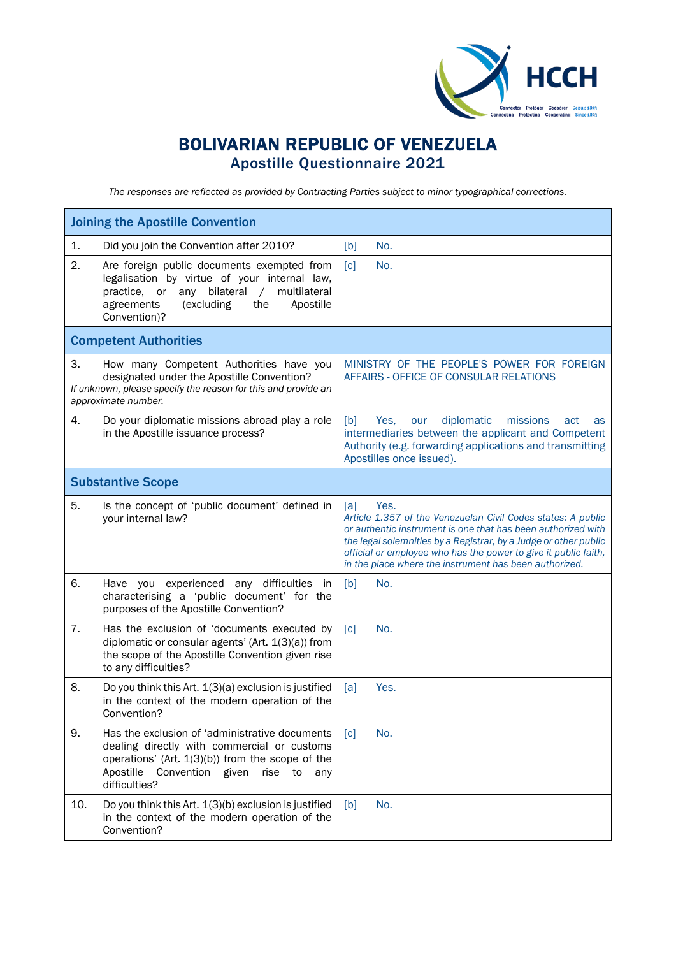

## BOLIVARIAN REPUBLIC OF VENEZUELA Apostille Questionnaire 2021

*The responses are reflected as provided by Contracting Parties subject to minor typographical corrections.*

| <b>Joining the Apostille Convention</b>                                                                                                                                                                                              |                                                                                                                                                                                                                                                                                                                                              |
|--------------------------------------------------------------------------------------------------------------------------------------------------------------------------------------------------------------------------------------|----------------------------------------------------------------------------------------------------------------------------------------------------------------------------------------------------------------------------------------------------------------------------------------------------------------------------------------------|
| Did you join the Convention after 2010?<br>1.                                                                                                                                                                                        | No.<br>[b]                                                                                                                                                                                                                                                                                                                                   |
| 2.<br>Are foreign public documents exempted from<br>legalisation by virtue of your internal law,<br>any bilateral<br>$\sqrt{2}$<br>multilateral<br>practice.<br>or<br>agreements<br>(excluding<br>the<br>Apostille<br>Convention)?   | $\lceil c \rceil$<br>No.                                                                                                                                                                                                                                                                                                                     |
| <b>Competent Authorities</b>                                                                                                                                                                                                         |                                                                                                                                                                                                                                                                                                                                              |
| 3.<br>How many Competent Authorities have you<br>designated under the Apostille Convention?<br>If unknown, please specify the reason for this and provide an<br>approximate number.                                                  | MINISTRY OF THE PEOPLE'S POWER FOR FOREIGN<br>AFFAIRS - OFFICE OF CONSULAR RELATIONS                                                                                                                                                                                                                                                         |
| 4.<br>Do your diplomatic missions abroad play a role<br>in the Apostille issuance process?                                                                                                                                           | diplomatic<br>[b]<br>Yes.<br>missions<br>our<br>act<br>as<br>intermediaries between the applicant and Competent<br>Authority (e.g. forwarding applications and transmitting<br>Apostilles once issued).                                                                                                                                      |
| <b>Substantive Scope</b>                                                                                                                                                                                                             |                                                                                                                                                                                                                                                                                                                                              |
| 5.<br>Is the concept of 'public document' defined in<br>your internal law?                                                                                                                                                           | Yes.<br>[a]<br>Article 1.357 of the Venezuelan Civil Codes states: A public<br>or authentic instrument is one that has been authorized with<br>the legal solemnities by a Registrar, by a Judge or other public<br>official or employee who has the power to give it public faith,<br>in the place where the instrument has been authorized. |
| 6.<br>Have you experienced any difficulties in<br>characterising a 'public document' for the<br>purposes of the Apostille Convention?                                                                                                | [b]<br>No.                                                                                                                                                                                                                                                                                                                                   |
| 7.<br>Has the exclusion of 'documents executed by<br>diplomatic or consular agents' (Art. 1(3)(a)) from<br>the scope of the Apostille Convention given rise<br>to any difficulties?                                                  | $\lceil c \rceil$<br>No.                                                                                                                                                                                                                                                                                                                     |
| 8.<br>Do you think this Art. 1(3)(a) exclusion is justified<br>in the context of the modern operation of the<br>Convention?                                                                                                          | Yes.<br>[a]                                                                                                                                                                                                                                                                                                                                  |
| 9.<br>Has the exclusion of 'administrative documents<br>dealing directly with commercial or customs<br>operations' (Art. $1(3)(b)$ ) from the scope of the<br>Convention<br>Apostille<br>given<br>rise<br>to<br>any<br>difficulties? | No.<br>$\lceil c \rceil$                                                                                                                                                                                                                                                                                                                     |
| 10.<br>Do you think this Art. 1(3)(b) exclusion is justified<br>in the context of the modern operation of the<br>Convention?                                                                                                         | No.<br>[b]                                                                                                                                                                                                                                                                                                                                   |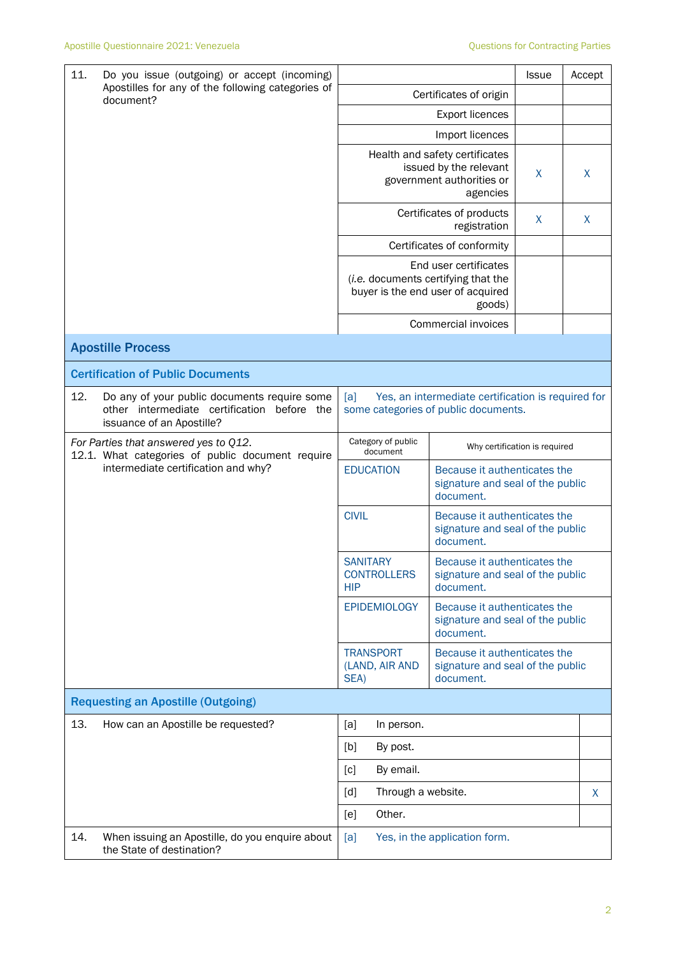| 11.<br>Do you issue (outgoing) or accept (incoming)<br>Apostilles for any of the following categories of<br>document? |                                                                                                                             |                                                                                                                             | <b>Issue</b>                                                                  | Accept |   |
|-----------------------------------------------------------------------------------------------------------------------|-----------------------------------------------------------------------------------------------------------------------------|-----------------------------------------------------------------------------------------------------------------------------|-------------------------------------------------------------------------------|--------|---|
|                                                                                                                       |                                                                                                                             | Certificates of origin                                                                                                      |                                                                               |        |   |
|                                                                                                                       |                                                                                                                             |                                                                                                                             | <b>Export licences</b>                                                        |        |   |
|                                                                                                                       |                                                                                                                             |                                                                                                                             | Import licences                                                               |        |   |
|                                                                                                                       |                                                                                                                             | Health and safety certificates<br>issued by the relevant<br>government authorities or                                       | X                                                                             | X      |   |
|                                                                                                                       |                                                                                                                             |                                                                                                                             | Certificates of products<br>registration                                      | X      | X |
|                                                                                                                       |                                                                                                                             |                                                                                                                             | Certificates of conformity                                                    |        |   |
|                                                                                                                       |                                                                                                                             | End user certificates<br>(i.e. documents certifying that the<br>buyer is the end user of acquired                           |                                                                               |        |   |
|                                                                                                                       |                                                                                                                             |                                                                                                                             | Commercial invoices                                                           |        |   |
|                                                                                                                       | <b>Apostille Process</b>                                                                                                    |                                                                                                                             |                                                                               |        |   |
|                                                                                                                       | <b>Certification of Public Documents</b>                                                                                    |                                                                                                                             |                                                                               |        |   |
| 12.                                                                                                                   | Do any of your public documents require some<br>other intermediate certification<br>before the<br>issuance of an Apostille? | Yes, an intermediate certification is required for<br>[a]<br>some categories of public documents.                           |                                                                               |        |   |
| For Parties that answered yes to Q12.<br>12.1. What categories of public document require                             |                                                                                                                             | Category of public<br>document                                                                                              | Why certification is required                                                 |        |   |
| intermediate certification and why?                                                                                   | <b>EDUCATION</b>                                                                                                            | Because it authenticates the<br>signature and seal of the public<br>document.                                               |                                                                               |        |   |
|                                                                                                                       |                                                                                                                             | <b>CIVIL</b>                                                                                                                | Because it authenticates the<br>signature and seal of the public<br>document. |        |   |
|                                                                                                                       |                                                                                                                             | <b>SANITARY</b><br><b>CONTROLLERS</b><br><b>HIP</b>                                                                         | Because it authenticates the<br>signature and seal of the public<br>document. |        |   |
|                                                                                                                       |                                                                                                                             | <b>EPIDEMIOLOGY</b><br>Because it authenticates the<br>signature and seal of the public<br>document.                        |                                                                               |        |   |
|                                                                                                                       |                                                                                                                             | <b>TRANSPORT</b><br>Because it authenticates the<br>(LAND, AIR AND<br>signature and seal of the public<br>document.<br>SEA) |                                                                               |        |   |
|                                                                                                                       | <b>Requesting an Apostille (Outgoing)</b>                                                                                   |                                                                                                                             |                                                                               |        |   |
| 13.                                                                                                                   | How can an Apostille be requested?                                                                                          | [a]<br>In person.                                                                                                           |                                                                               |        |   |
|                                                                                                                       |                                                                                                                             | [b]<br>By post.                                                                                                             |                                                                               |        |   |
|                                                                                                                       |                                                                                                                             | [c]<br>By email.                                                                                                            |                                                                               |        |   |
|                                                                                                                       |                                                                                                                             | Through a website.<br>[d]                                                                                                   |                                                                               |        | X |
|                                                                                                                       |                                                                                                                             | Other.<br>[e]                                                                                                               |                                                                               |        |   |
| 14.                                                                                                                   | When issuing an Apostille, do you enquire about<br>the State of destination?                                                | [a]                                                                                                                         | Yes, in the application form.                                                 |        |   |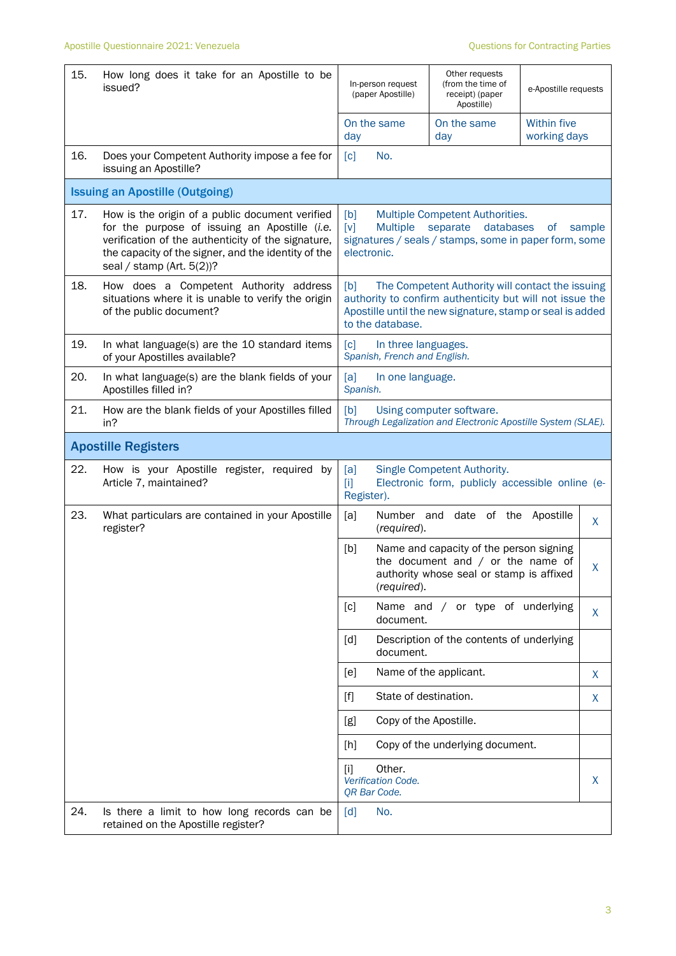| 15. | How long does it take for an Apostille to be<br>issued?                                                                                                                                                                                       | In-person request<br>(paper Apostille)                                                                                                                                                               | Other requests<br>(from the time of<br>receipt) (paper<br>Apostille)                                                       | e-Apostille requests        |    |
|-----|-----------------------------------------------------------------------------------------------------------------------------------------------------------------------------------------------------------------------------------------------|------------------------------------------------------------------------------------------------------------------------------------------------------------------------------------------------------|----------------------------------------------------------------------------------------------------------------------------|-----------------------------|----|
|     |                                                                                                                                                                                                                                               | On the same<br>day                                                                                                                                                                                   | On the same<br>day                                                                                                         | Within five<br>working days |    |
| 16. | Does your Competent Authority impose a fee for<br>issuing an Apostille?                                                                                                                                                                       | No.<br>$\lceil c \rceil$                                                                                                                                                                             |                                                                                                                            |                             |    |
|     | <b>Issuing an Apostille (Outgoing)</b>                                                                                                                                                                                                        |                                                                                                                                                                                                      |                                                                                                                            |                             |    |
| 17. | How is the origin of a public document verified<br>for the purpose of issuing an Apostille (i.e.<br>verification of the authenticity of the signature,<br>the capacity of the signer, and the identity of the<br>seal / stamp (Art. $5(2)$ )? | [b]<br>Multiple Competent Authorities.<br><b>Multiple</b><br>separate<br>databases<br>$\lceil v \rceil$<br>of<br>sample<br>signatures / seals / stamps, some in paper form, some<br>electronic.      |                                                                                                                            |                             |    |
| 18. | How does a Competent Authority address<br>situations where it is unable to verify the origin<br>of the public document?                                                                                                                       | The Competent Authority will contact the issuing<br>[b]<br>authority to confirm authenticity but will not issue the<br>Apostille until the new signature, stamp or seal is added<br>to the database. |                                                                                                                            |                             |    |
| 19. | In what language(s) are the 10 standard items<br>of your Apostilles available?                                                                                                                                                                | $\lceil c \rceil$<br>In three languages.<br>Spanish, French and English.                                                                                                                             |                                                                                                                            |                             |    |
| 20. | In what language(s) are the blank fields of your<br>Apostilles filled in?                                                                                                                                                                     | [a]<br>In one language.<br>Spanish.                                                                                                                                                                  |                                                                                                                            |                             |    |
| 21. | How are the blank fields of your Apostilles filled<br>in?                                                                                                                                                                                     | [b]<br>Using computer software.<br>Through Legalization and Electronic Apostille System (SLAE).                                                                                                      |                                                                                                                            |                             |    |
|     | <b>Apostille Registers</b>                                                                                                                                                                                                                    |                                                                                                                                                                                                      |                                                                                                                            |                             |    |
| 22. | How is your Apostille register, required<br>by<br>Article 7, maintained?                                                                                                                                                                      | [a]<br>$[1]$<br>Register).                                                                                                                                                                           | Single Competent Authority.<br>Electronic form, publicly accessible online (e-                                             |                             |    |
| 23. | What particulars are contained in your Apostille<br>register?                                                                                                                                                                                 | [a]<br>(required).                                                                                                                                                                                   | Number and date of the Apostille                                                                                           |                             | X. |
|     |                                                                                                                                                                                                                                               | [b]<br>(required).                                                                                                                                                                                   | Name and capacity of the person signing<br>the document and $/$ or the name of<br>authority whose seal or stamp is affixed |                             | X  |
|     |                                                                                                                                                                                                                                               | [c]<br>document.                                                                                                                                                                                     | Name and / or type of underlying                                                                                           |                             | X. |
|     |                                                                                                                                                                                                                                               | $\lceil d \rceil$<br>document.                                                                                                                                                                       | Description of the contents of underlying                                                                                  |                             |    |
|     |                                                                                                                                                                                                                                               | [e]                                                                                                                                                                                                  | Name of the applicant.                                                                                                     |                             | X  |
|     |                                                                                                                                                                                                                                               | State of destination.<br>$[f]$                                                                                                                                                                       |                                                                                                                            |                             | X  |
|     |                                                                                                                                                                                                                                               | Copy of the Apostille.<br>[g]                                                                                                                                                                        |                                                                                                                            |                             |    |
|     |                                                                                                                                                                                                                                               | [h]                                                                                                                                                                                                  | Copy of the underlying document.                                                                                           |                             |    |
|     |                                                                                                                                                                                                                                               | Other.<br>[i]<br>Verification Code.<br>QR Bar Code.                                                                                                                                                  |                                                                                                                            |                             | X. |
| 24. | Is there a limit to how long records can be<br>retained on the Apostille register?                                                                                                                                                            | $\lceil d \rceil$<br>No.                                                                                                                                                                             |                                                                                                                            |                             |    |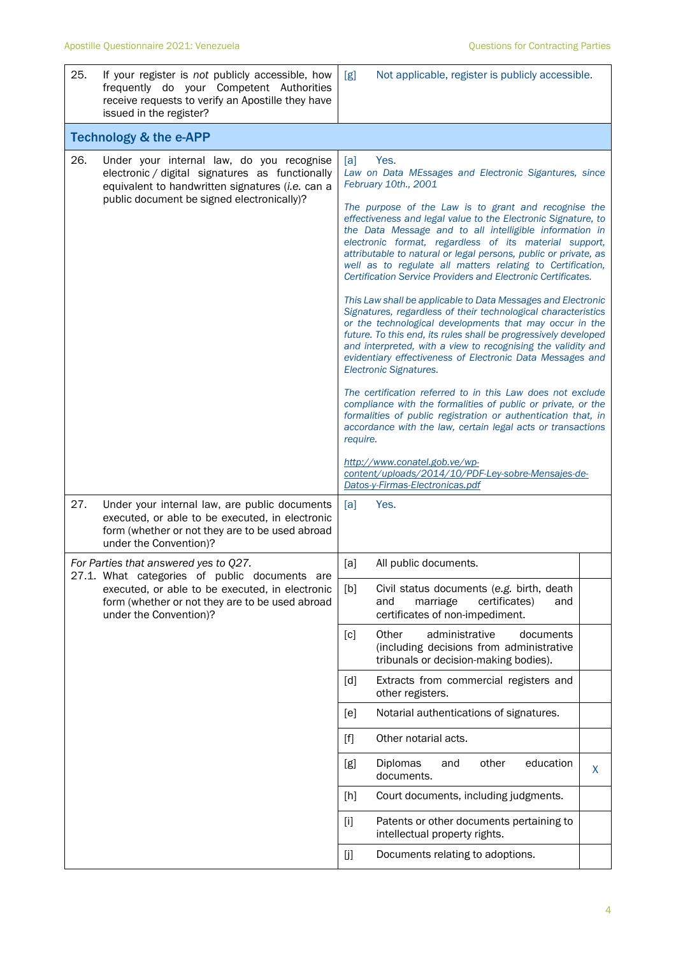| 25. | If your register is not publicly accessible, how<br>frequently do your Competent Authorities<br>receive requests to verify an Apostille they have<br>issued in the register?                   | [g]                                                                                                                                                                                                                                                                                                                                                                                                                                                                                                                                                                                                                                                                                                                                                                                                                                                                                                                                                                                                                                                                                                                                                                                                                                                                                                                                | Not applicable, register is publicly accessible.                                                                          |   |
|-----|------------------------------------------------------------------------------------------------------------------------------------------------------------------------------------------------|------------------------------------------------------------------------------------------------------------------------------------------------------------------------------------------------------------------------------------------------------------------------------------------------------------------------------------------------------------------------------------------------------------------------------------------------------------------------------------------------------------------------------------------------------------------------------------------------------------------------------------------------------------------------------------------------------------------------------------------------------------------------------------------------------------------------------------------------------------------------------------------------------------------------------------------------------------------------------------------------------------------------------------------------------------------------------------------------------------------------------------------------------------------------------------------------------------------------------------------------------------------------------------------------------------------------------------|---------------------------------------------------------------------------------------------------------------------------|---|
|     | <b>Technology &amp; the e-APP</b>                                                                                                                                                              |                                                                                                                                                                                                                                                                                                                                                                                                                                                                                                                                                                                                                                                                                                                                                                                                                                                                                                                                                                                                                                                                                                                                                                                                                                                                                                                                    |                                                                                                                           |   |
| 26. | Under your internal law, do you recognise<br>electronic / digital signatures as functionally<br>equivalent to handwritten signatures (i.e. can a<br>public document be signed electronically)? | Yes.<br>[a]<br>Law on Data MEssages and Electronic Sigantures, since<br>February 10th., 2001<br>The purpose of the Law is to grant and recognise the<br>effectiveness and legal value to the Electronic Signature, to<br>the Data Message and to all intelligible information in<br>electronic format, regardless of its material support,<br>attributable to natural or legal persons, public or private, as<br>well as to regulate all matters relating to Certification,<br>Certification Service Providers and Electronic Certificates.<br>This Law shall be applicable to Data Messages and Electronic<br>Signatures, regardless of their technological characteristics<br>or the technological developments that may occur in the<br>future. To this end, its rules shall be progressively developed<br>and interpreted, with a view to recognising the validity and<br>evidentiary effectiveness of Electronic Data Messages and<br>Electronic Signatures.<br>The certification referred to in this Law does not exclude<br>compliance with the formalities of public or private, or the<br>formalities of public registration or authentication that, in<br>accordance with the law, certain legal acts or transactions<br>require.<br>http://www.conatel.gob.ve/wp-<br>content/uploads/2014/10/PDF-Ley-sobre-Mensajes-de- |                                                                                                                           |   |
| 27. | Under your internal law, are public documents<br>executed, or able to be executed, in electronic<br>form (whether or not they are to be used abroad<br>under the Convention)?                  | [a]                                                                                                                                                                                                                                                                                                                                                                                                                                                                                                                                                                                                                                                                                                                                                                                                                                                                                                                                                                                                                                                                                                                                                                                                                                                                                                                                | Datos-y-Firmas-Electronicas.pdf<br>Yes.                                                                                   |   |
|     | For Parties that answered yes to Q27.<br>27.1. What categories of public documents are                                                                                                         | [a]                                                                                                                                                                                                                                                                                                                                                                                                                                                                                                                                                                                                                                                                                                                                                                                                                                                                                                                                                                                                                                                                                                                                                                                                                                                                                                                                | All public documents.                                                                                                     |   |
|     | executed, or able to be executed, in electronic<br>form (whether or not they are to be used abroad<br>under the Convention)?                                                                   | [b]                                                                                                                                                                                                                                                                                                                                                                                                                                                                                                                                                                                                                                                                                                                                                                                                                                                                                                                                                                                                                                                                                                                                                                                                                                                                                                                                | Civil status documents (e.g. birth, death<br>and<br>marriage<br>certificates)<br>and<br>certificates of non-impediment.   |   |
|     |                                                                                                                                                                                                | [c]                                                                                                                                                                                                                                                                                                                                                                                                                                                                                                                                                                                                                                                                                                                                                                                                                                                                                                                                                                                                                                                                                                                                                                                                                                                                                                                                | Other<br>administrative<br>documents<br>(including decisions from administrative<br>tribunals or decision-making bodies). |   |
|     |                                                                                                                                                                                                | [d]                                                                                                                                                                                                                                                                                                                                                                                                                                                                                                                                                                                                                                                                                                                                                                                                                                                                                                                                                                                                                                                                                                                                                                                                                                                                                                                                | Extracts from commercial registers and<br>other registers.                                                                |   |
|     |                                                                                                                                                                                                | [e]                                                                                                                                                                                                                                                                                                                                                                                                                                                                                                                                                                                                                                                                                                                                                                                                                                                                                                                                                                                                                                                                                                                                                                                                                                                                                                                                | Notarial authentications of signatures.                                                                                   |   |
|     |                                                                                                                                                                                                | $[f]$                                                                                                                                                                                                                                                                                                                                                                                                                                                                                                                                                                                                                                                                                                                                                                                                                                                                                                                                                                                                                                                                                                                                                                                                                                                                                                                              | Other notarial acts.                                                                                                      |   |
|     |                                                                                                                                                                                                | [g]                                                                                                                                                                                                                                                                                                                                                                                                                                                                                                                                                                                                                                                                                                                                                                                                                                                                                                                                                                                                                                                                                                                                                                                                                                                                                                                                | Diplomas<br>other<br>education<br>and<br>documents.                                                                       | X |
|     |                                                                                                                                                                                                | [h]                                                                                                                                                                                                                                                                                                                                                                                                                                                                                                                                                                                                                                                                                                                                                                                                                                                                                                                                                                                                                                                                                                                                                                                                                                                                                                                                | Court documents, including judgments.                                                                                     |   |
|     |                                                                                                                                                                                                | $[1]$                                                                                                                                                                                                                                                                                                                                                                                                                                                                                                                                                                                                                                                                                                                                                                                                                                                                                                                                                                                                                                                                                                                                                                                                                                                                                                                              | Patents or other documents pertaining to<br>intellectual property rights.                                                 |   |
|     |                                                                                                                                                                                                | [j]                                                                                                                                                                                                                                                                                                                                                                                                                                                                                                                                                                                                                                                                                                                                                                                                                                                                                                                                                                                                                                                                                                                                                                                                                                                                                                                                | Documents relating to adoptions.                                                                                          |   |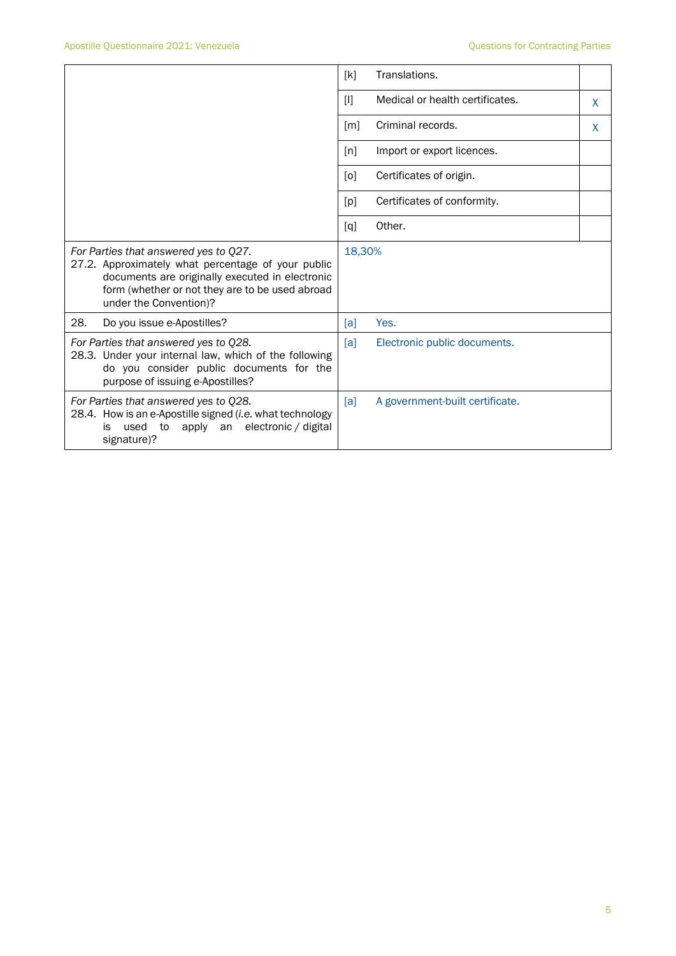|                                                                                                                                                                                                                             | Translations.<br>[k]                           |  |
|-----------------------------------------------------------------------------------------------------------------------------------------------------------------------------------------------------------------------------|------------------------------------------------|--|
|                                                                                                                                                                                                                             | Medical or health certificates.<br>$[1]$<br>X. |  |
|                                                                                                                                                                                                                             | Criminal records.<br>$\lceil m \rceil$<br>X    |  |
|                                                                                                                                                                                                                             | Import or export licences.<br>[n]              |  |
|                                                                                                                                                                                                                             | Certificates of origin.<br>[0]                 |  |
|                                                                                                                                                                                                                             | Certificates of conformity.<br>[p]             |  |
|                                                                                                                                                                                                                             | Other.<br>[q]                                  |  |
| For Parties that answered yes to Q27.<br>27.2. Approximately what percentage of your public<br>documents are originally executed in electronic<br>form (whether or not they are to be used abroad<br>under the Convention)? | 18,30%                                         |  |
| 28.<br>Do you issue e-Apostilles?                                                                                                                                                                                           | Yes.<br>[a]                                    |  |
| For Parties that answered yes to Q28.<br>28.3. Under your internal law, which of the following<br>do you consider public documents for the<br>purpose of issuing e-Apostilles?                                              | Electronic public documents.<br>[a]            |  |
| For Parties that answered yes to Q28.<br>28.4. How is an e-Apostille signed (i.e. what technology<br>electronic / digital<br>used<br>to<br>apply<br>is<br>an<br>signature)?                                                 | [a]<br>A government-built certificate.         |  |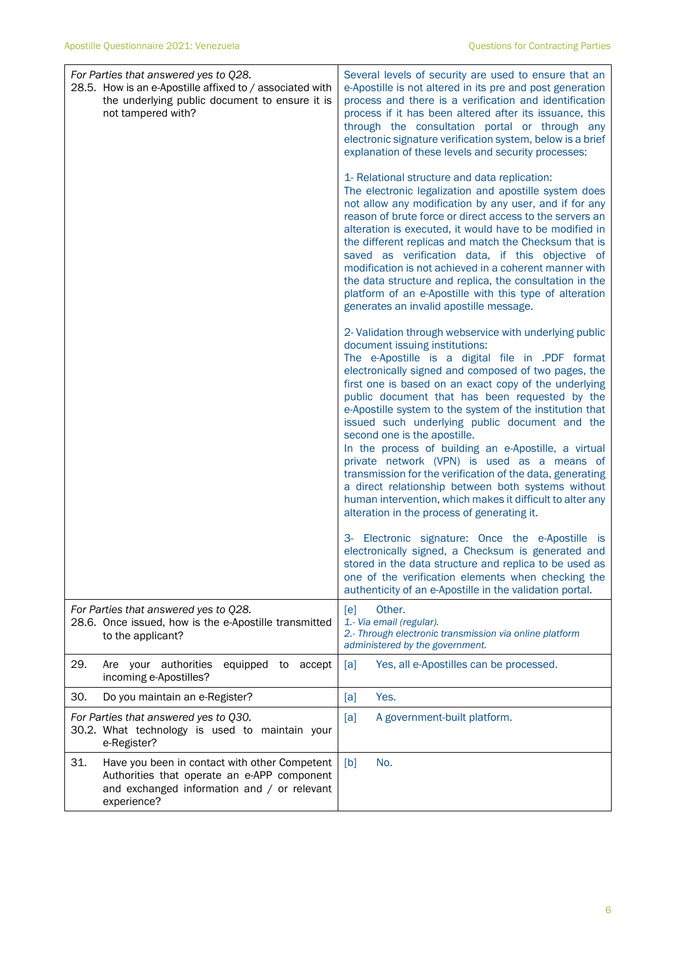| For Parties that answered yes to Q28.<br>28.5. How is an e-Apostille affixed to / associated with<br>the underlying public document to ensure it is<br>not tampered with? | Several levels of security are used to ensure that an<br>e-Apostille is not altered in its pre and post generation<br>process and there is a verification and identification<br>process if it has been altered after its issuance, this<br>through the consultation portal or through any<br>electronic signature verification system, below is a brief<br>explanation of these levels and security processes:                                                                                                                                                                                                                                                                                                                                                                                       |
|---------------------------------------------------------------------------------------------------------------------------------------------------------------------------|------------------------------------------------------------------------------------------------------------------------------------------------------------------------------------------------------------------------------------------------------------------------------------------------------------------------------------------------------------------------------------------------------------------------------------------------------------------------------------------------------------------------------------------------------------------------------------------------------------------------------------------------------------------------------------------------------------------------------------------------------------------------------------------------------|
|                                                                                                                                                                           | 1- Relational structure and data replication:<br>The electronic legalization and apostille system does<br>not allow any modification by any user, and if for any<br>reason of brute force or direct access to the servers an<br>alteration is executed, it would have to be modified in<br>the different replicas and match the Checksum that is<br>saved as verification data, if this objective of<br>modification is not achieved in a coherent manner with<br>the data structure and replica, the consultation in the<br>platform of an e-Apostille with this type of alteration<br>generates an invalid apostille message.                                                                                                                                                                      |
|                                                                                                                                                                           | 2- Validation through webservice with underlying public<br>document issuing institutions:<br>The e-Apostille is a digital file in .PDF format<br>electronically signed and composed of two pages, the<br>first one is based on an exact copy of the underlying<br>public document that has been requested by the<br>e-Apostille system to the system of the institution that<br>issued such underlying public document and the<br>second one is the apostille.<br>In the process of building an e-Apostille, a virtual<br>private network (VPN) is used as a means of<br>transmission for the verification of the data, generating<br>a direct relationship between both systems without<br>human intervention, which makes it difficult to alter any<br>alteration in the process of generating it. |
|                                                                                                                                                                           | 3- Electronic signature: Once the e-Apostille is<br>electronically signed, a Checksum is generated and<br>stored in the data structure and replica to be used as<br>one of the verification elements when checking the<br>authenticity of an e-Apostille in the validation portal.                                                                                                                                                                                                                                                                                                                                                                                                                                                                                                                   |
| For Parties that answered yes to Q28.<br>28.6. Once issued, how is the e-Apostille transmitted<br>to the applicant?                                                       | Other.<br>[e]<br>1.- Via email (regular).<br>2.- Through electronic transmission via online platform<br>administered by the government.                                                                                                                                                                                                                                                                                                                                                                                                                                                                                                                                                                                                                                                              |
| 29.<br>Are your authorities<br>equipped to accept<br>incoming e-Apostilles?                                                                                               | Yes, all e-Apostilles can be processed.<br>[a]                                                                                                                                                                                                                                                                                                                                                                                                                                                                                                                                                                                                                                                                                                                                                       |
| 30.<br>Do you maintain an e-Register?                                                                                                                                     | Yes.<br>[a]                                                                                                                                                                                                                                                                                                                                                                                                                                                                                                                                                                                                                                                                                                                                                                                          |
| For Parties that answered yes to Q30.<br>30.2. What technology is used to maintain your<br>e-Register?                                                                    | A government-built platform.<br>[a]                                                                                                                                                                                                                                                                                                                                                                                                                                                                                                                                                                                                                                                                                                                                                                  |
| 31.<br>Have you been in contact with other Competent<br>Authorities that operate an e-APP component<br>and exchanged information and / or relevant<br>experience?         | No.<br>[b]                                                                                                                                                                                                                                                                                                                                                                                                                                                                                                                                                                                                                                                                                                                                                                                           |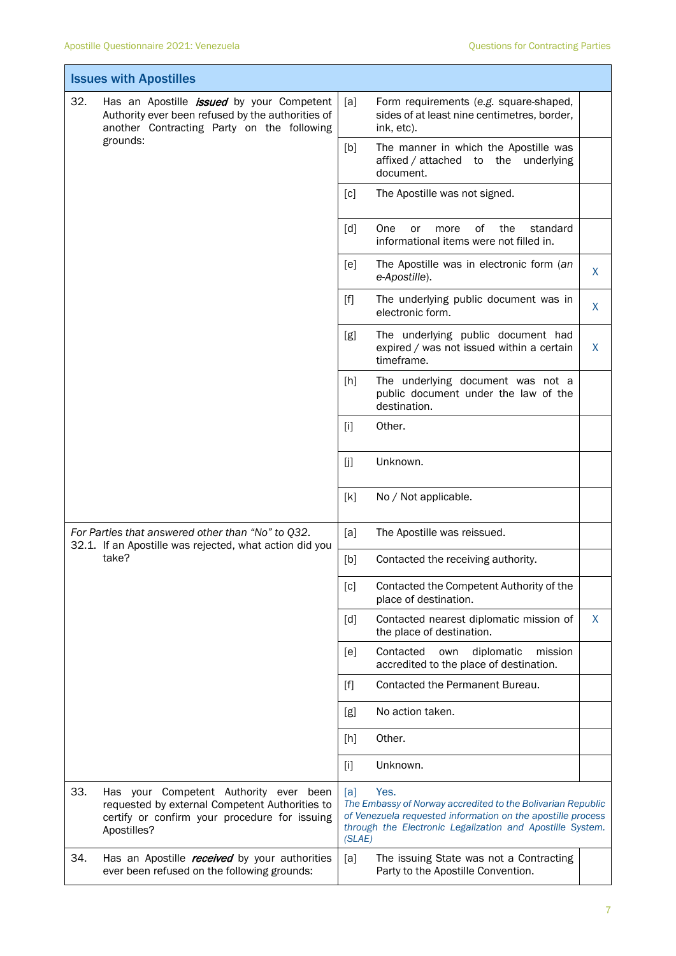|                                                                                                              | <b>Issues with Apostilles</b>                                                                                                                            |                                                                                                                                                                                                                  |                                                                                                     |   |
|--------------------------------------------------------------------------------------------------------------|----------------------------------------------------------------------------------------------------------------------------------------------------------|------------------------------------------------------------------------------------------------------------------------------------------------------------------------------------------------------------------|-----------------------------------------------------------------------------------------------------|---|
| 32.                                                                                                          | Has an Apostille <i>issued</i> by your Competent<br>Authority ever been refused by the authorities of<br>another Contracting Party on the following      | [a]                                                                                                                                                                                                              | Form requirements (e.g. square-shaped,<br>sides of at least nine centimetres, border,<br>ink, etc). |   |
|                                                                                                              | grounds:                                                                                                                                                 | [b]                                                                                                                                                                                                              | The manner in which the Apostille was<br>affixed / attached to the underlying<br>document.          |   |
|                                                                                                              |                                                                                                                                                          | [c]                                                                                                                                                                                                              | The Apostille was not signed.                                                                       |   |
|                                                                                                              |                                                                                                                                                          | $\lceil d \rceil$                                                                                                                                                                                                | One<br>0f<br>the<br>standard<br>or<br>more<br>informational items were not filled in.               |   |
|                                                                                                              |                                                                                                                                                          | [e]                                                                                                                                                                                                              | The Apostille was in electronic form (an<br>e-Apostille).                                           | X |
|                                                                                                              |                                                                                                                                                          | $[f]$                                                                                                                                                                                                            | The underlying public document was in<br>electronic form.                                           | X |
|                                                                                                              |                                                                                                                                                          | [g]                                                                                                                                                                                                              | The underlying public document had<br>expired / was not issued within a certain<br>timeframe.       | X |
|                                                                                                              |                                                                                                                                                          | [h]                                                                                                                                                                                                              | The underlying document was not a<br>public document under the law of the<br>destination.           |   |
|                                                                                                              |                                                                                                                                                          | $[1]$                                                                                                                                                                                                            | Other.                                                                                              |   |
|                                                                                                              |                                                                                                                                                          | [j]                                                                                                                                                                                                              | Unknown.                                                                                            |   |
|                                                                                                              |                                                                                                                                                          | [k]                                                                                                                                                                                                              | No / Not applicable.                                                                                |   |
| For Parties that answered other than "No" to Q32.<br>32.1. If an Apostille was rejected, what action did you |                                                                                                                                                          | [a]                                                                                                                                                                                                              | The Apostille was reissued.                                                                         |   |
|                                                                                                              | take?                                                                                                                                                    | [b]                                                                                                                                                                                                              | Contacted the receiving authority.                                                                  |   |
|                                                                                                              |                                                                                                                                                          | [c]                                                                                                                                                                                                              | Contacted the Competent Authority of the<br>place of destination.                                   |   |
|                                                                                                              |                                                                                                                                                          | $\lceil d \rceil$                                                                                                                                                                                                | Contacted nearest diplomatic mission of<br>the place of destination.                                | X |
|                                                                                                              |                                                                                                                                                          | [e]                                                                                                                                                                                                              | Contacted<br>diplomatic<br>mission<br>own<br>accredited to the place of destination.                |   |
|                                                                                                              |                                                                                                                                                          | [f]                                                                                                                                                                                                              | Contacted the Permanent Bureau.                                                                     |   |
|                                                                                                              |                                                                                                                                                          | [g]                                                                                                                                                                                                              | No action taken.                                                                                    |   |
|                                                                                                              |                                                                                                                                                          | [h]                                                                                                                                                                                                              | Other.                                                                                              |   |
|                                                                                                              |                                                                                                                                                          | $[1]$                                                                                                                                                                                                            | Unknown.                                                                                            |   |
| 33.                                                                                                          | Has your Competent Authority ever been<br>requested by external Competent Authorities to<br>certify or confirm your procedure for issuing<br>Apostilles? | [a]<br>Yes.<br>The Embassy of Norway accredited to the Bolivarian Republic<br>of Venezuela requested information on the apostille process<br>through the Electronic Legalization and Apostille System.<br>(SLAE) |                                                                                                     |   |
| 34.                                                                                                          | Has an Apostille <i>received</i> by your authorities<br>ever been refused on the following grounds:                                                      | [a]                                                                                                                                                                                                              | The issuing State was not a Contracting<br>Party to the Apostille Convention.                       |   |